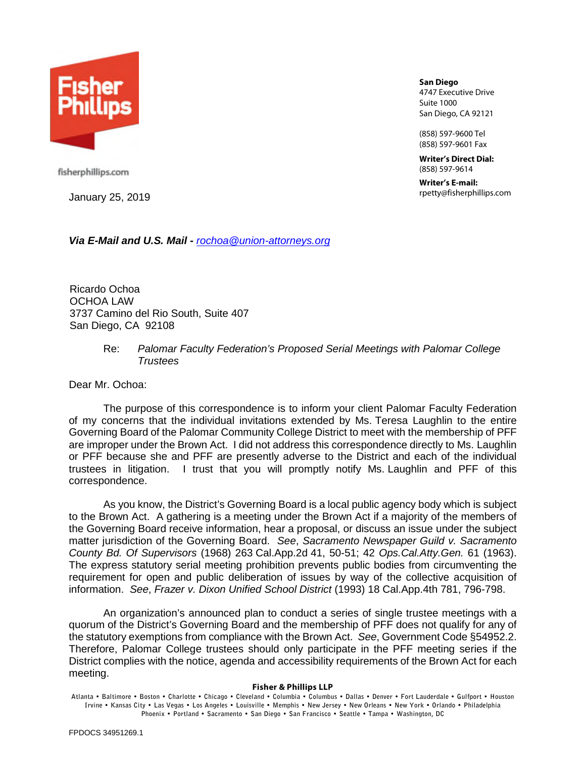

**San Diego** 4747 Executive Drive Suite 1000 San Diego, CA 92121

(858) 597-9600 Tel (858) 597-9601 Fax

**Writer's Direct Dial:** (858) 597-9614

**Writer's E-mail:** rpetty@fisherphillips.com January 25, 2019

fisherphillips.com

*Via E-Mail and U.S. Mail - rochoa@union-attorneys.org*

Ricardo Ochoa OCHOA LAW 3737 Camino del Rio South, Suite 407 San Diego, CA 92108

## Re: *Palomar Faculty Federation's Proposed Serial Meetings with Palomar College Trustees*

Dear Mr. Ochoa:

The purpose of this correspondence is to inform your client Palomar Faculty Federation of my concerns that the individual invitations extended by Ms. Teresa Laughlin to the entire Governing Board of the Palomar Community College District to meet with the membership of PFF are improper under the Brown Act. I did not address this correspondence directly to Ms. Laughlin or PFF because she and PFF are presently adverse to the District and each of the individual trustees in litigation. I trust that you will promptly notify Ms. Laughlin and PFF of this correspondence.

As you know, the District's Governing Board is a local public agency body which is subject to the Brown Act. A gathering is a meeting under the Brown Act if a majority of the members of the Governing Board receive information, hear a proposal, or discuss an issue under the subject matter jurisdiction of the Governing Board. *See*, *Sacramento Newspaper Guild v. Sacramento County Bd. Of Supervisors* (1968) 263 Cal.App.2d 41, 50-51; 42 *Ops.Cal.Atty.Gen.* 61 (1963). The express statutory serial meeting prohibition prevents public bodies from circumventing the requirement for open and public deliberation of issues by way of the collective acquisition of information. *See*, *Frazer v. Dixon Unified School District* (1993) 18 Cal.App.4th 781, 796-798.

An organization's announced plan to conduct a series of single trustee meetings with a quorum of the District's Governing Board and the membership of PFF does not qualify for any of the statutory exemptions from compliance with the Brown Act. *See*, Government Code §54952.2. Therefore, Palomar College trustees should only participate in the PFF meeting series if the District complies with the notice, agenda and accessibility requirements of the Brown Act for each meeting.

## **Fisher & Phillips LLP**

**Atlanta • Baltimore • Boston • Charlotte • Chicago • Cleveland • Columbia • Columbus • Dallas • Denver • Fort Lauderdale • Gulfport • Houston Irvine • Kansas City • Las Vegas • Los Angeles • Louisville • Memphis • New Jersey • New Orleans • New York • Orlando • Philadelphia Phoenix • Portland • Sacramento • San Diego • San Francisco • Seattle • Tampa • Washington, DC**